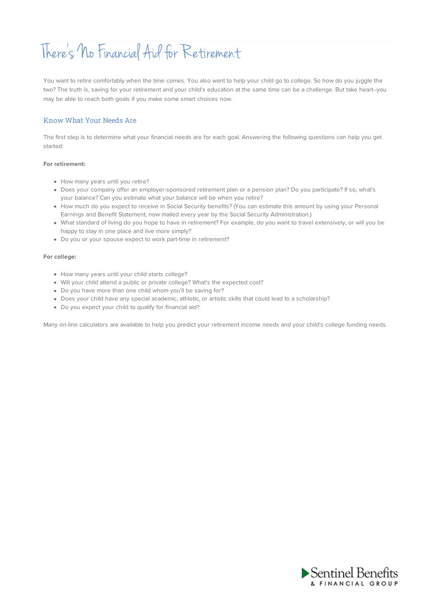# There s No Financial Aid for Retirement

You want to retire comfortably when the time comes. You also want to help your child go to college. So how do you juggle the two? The truth is, saving for your retirement and your child's education at the same time can be a challenge. But take heart--you may be able to reach both goals if you make some smart choices now.

# Know What Your Needs Are

The first step is to determine what your financial needs are for each goal. Answering the following questions can help you get started:

#### **For retirement:**

- How many years until you retire?
- Does your company offer an employer-sponsored retirement plan or a pension plan? Do you participate? If so, what's your balance? Can you estimate what your balance will be when you retire?
- How much do you expect to receive in Social Security benefits? (You can estimate this amount by using your Personal Earnings and Benefit Statement, now mailed every year by the Social Security Administration.)
- What standard of living do you hope to have in retirement? For example, do you want to travel extensively, or will you be happy to stay in one place and live more simply?
- Do you or your spouse expect to work part-time in retirement?

#### **For college:**

- How many years until your child starts college?
- Will your child attend a public or private college? What's the expected cost?
- Do you have more than one child whom you'll be saving for?
- Does your child have any special academic, athletic, or artistic skills that could lead to a scholarship?
- Do you expect your child to qualify for financial aid?

Many on-line calculators are available to help you predict your retirement income needs and your child's college funding needs.

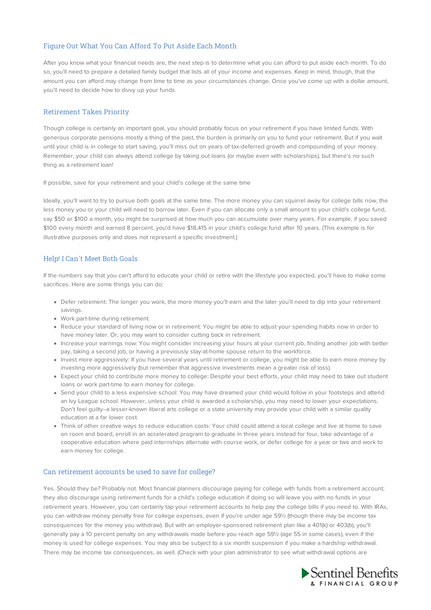# Figure Out What You Can Afford To Put Aside Each Month

After you know what your financial needs are, the next step is to determine what you can afford to put aside each month. To do so, you'll need to prepare a detailed family budget that lists all of your income and expenses. Keep in mind, though, that the amount you can afford may change from time to time as your circumstances change. Once you've come up with a dollar amount, you'll need to decide how to divvy up your funds.

## Retirement Takes Priority

Though college is certainly an important goal, you should probably focus on your retirement if you have limited funds. With generous corporate pensions mostly a thing of the past, the burden is primarily on you to fund your retirement. But if you wait until your child is in college to start saving, you'll miss out on years of tax-deferred growth and compounding of your money. Remember, your child can always attend college by taking out loans (or maybe even with scholarships), but there's no such thing as a retirement loan!

If possible, save for your retirement and your child's college at the same time

Ideally, you'll want to try to pursue both goals at the same time. The more money you can squirrel away for college bills now, the less money you or your child will need to borrow later. Even if you can allocate only a small amount to your child's college fund, say \$50 or \$100 a month, you might be surprised at how much you can accumulate over many years. For example, if you saved \$100 every month and earned 8 percent, you'd have \$18,415 in your child's college fund after 10 years. (This example is for illustrative purposes only and does not represent a specific investment.)

## Help! I Can't Meet Both Goals

If the numbers say that you can't afford to educate your child or retire with the lifestyle you expected, you'll have to make some sacrifices. Here are some things you can do:

- Defer retirement: The longer you work, the more money you'll earn and the later you'll need to dip into your retirement savings.
- Work part-time during retirement.
- Reduce your standard of living now or in retirement: You might be able to adjust your spending habits now in order to have money later. Or, you may want to consider cutting back in retirement.
- Increase your earnings now: You might consider increasing your hours at your current job, finding another job with better pay, taking a second job, or having a previously stay-at-home spouse return to the workforce.
- Invest more aggressively: If you have several years until retirement or college, you might be able to earn more money by investing more aggressively (but remember that aggressive investments mean a greater risk of loss).
- Expect your child to contribute more money to college: Despite your best efforts, your child may need to take out student loans or work part-time to earn money for college.
- Send your child to a less expensive school: You may have dreamed your child would follow in your footsteps and attend an Ivy League school. However, unless your child is awarded a scholarship, you may need to lower your expectations. Don't feel quilty--a lesser-known liberal arts college or a state university may provide your child with a similar quality education at a far lower cost.
- Think of other creative ways to reduce education costs: Your child could attend a local college and live at home to save on room and board, enroll in an accelerated program to graduate in three years instead for four, take advantage of a cooperative education where paid internships alternate with course work, or defer college for a year or two and work to earn money for college.

## Can retirement accounts be used to save for college?

Yes. Should they be? Probably not. Most financial planners discourage paying for college with funds from a retirement account; they also discourage using retirement funds for a child's college education if doing so will leave you with no funds in your retirement years. However, you can certainly tap your retirement accounts to help pay the college bills if you need to. With IRAs, you can withdraw money penalty free for college expenses, even if you're under age 59½ (though there may be income tax consequences for the money you withdraw). But with an employer-sponsored retirement plan like a 401(k) or 403(b), you'll generally pay a 10 percent penalty on any withdrawals made before you reach age 59½ (age 55 in some cases), even if the money is used for college expenses. You may also be subject to a six month suspension if you make a hardship withdrawal. There may be income tax consequences, as well. (Check with your plan administrator to see what withdrawal options are